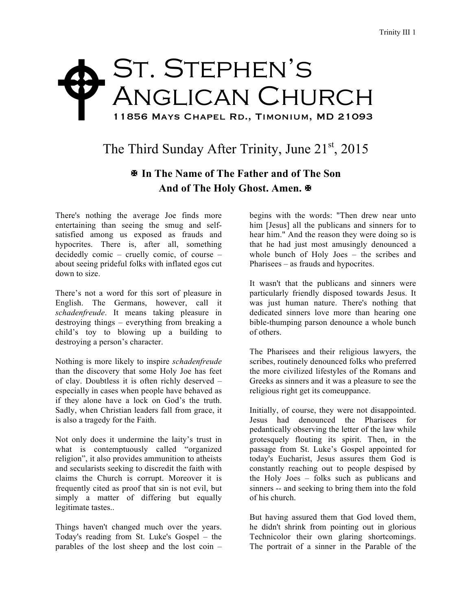## St. Stephen's Anglican Church 11856 Mays Chapel Rd., Timonium, MD 21093  $\blacklozenge$

## The Third Sunday After Trinity, June  $21<sup>st</sup>$ , 2015

## X **In The Name of The Father and of The Son** And of The Holy Ghost. Amen. **※**

There's nothing the average Joe finds more entertaining than seeing the smug and selfsatisfied among us exposed as frauds and hypocrites. There is, after all, something decidedly comic – cruelly comic, of course – about seeing prideful folks with inflated egos cut down to size.

There's not a word for this sort of pleasure in English. The Germans, however, call it *schadenfreude*. It means taking pleasure in destroying things – everything from breaking a child's toy to blowing up a building to destroying a person's character.

Nothing is more likely to inspire *schadenfreude*  than the discovery that some Holy Joe has feet of clay. Doubtless it is often richly deserved – especially in cases when people have behaved as if they alone have a lock on God's the truth. Sadly, when Christian leaders fall from grace, it is also a tragedy for the Faith.

Not only does it undermine the laity's trust in what is contemptuously called "organized religion", it also provides ammunition to atheists and secularists seeking to discredit the faith with claims the Church is corrupt. Moreover it is frequently cited as proof that sin is not evil, but simply a matter of differing but equally legitimate tastes..

Things haven't changed much over the years. Today's reading from St. Luke's Gospel – the parables of the lost sheep and the lost coin –

begins with the words: "Then drew near unto him [Jesus] all the publicans and sinners for to hear him." And the reason they were doing so is that he had just most amusingly denounced a whole bunch of Holy Joes – the scribes and Pharisees – as frauds and hypocrites.

It wasn't that the publicans and sinners were particularly friendly disposed towards Jesus. It was just human nature. There's nothing that dedicated sinners love more than hearing one bible-thumping parson denounce a whole bunch of others.

The Pharisees and their religious lawyers, the scribes, routinely denounced folks who preferred the more civilized lifestyles of the Romans and Greeks as sinners and it was a pleasure to see the religious right get its comeuppance.

Initially, of course, they were not disappointed. Jesus had denounced the Pharisees for pedantically observing the letter of the law while grotesquely flouting its spirit. Then, in the passage from St. Luke's Gospel appointed for today's Eucharist, Jesus assures them God is constantly reaching out to people despised by the Holy Joes – folks such as publicans and sinners -- and seeking to bring them into the fold of his church.

But having assured them that God loved them, he didn't shrink from pointing out in glorious Technicolor their own glaring shortcomings. The portrait of a sinner in the Parable of the